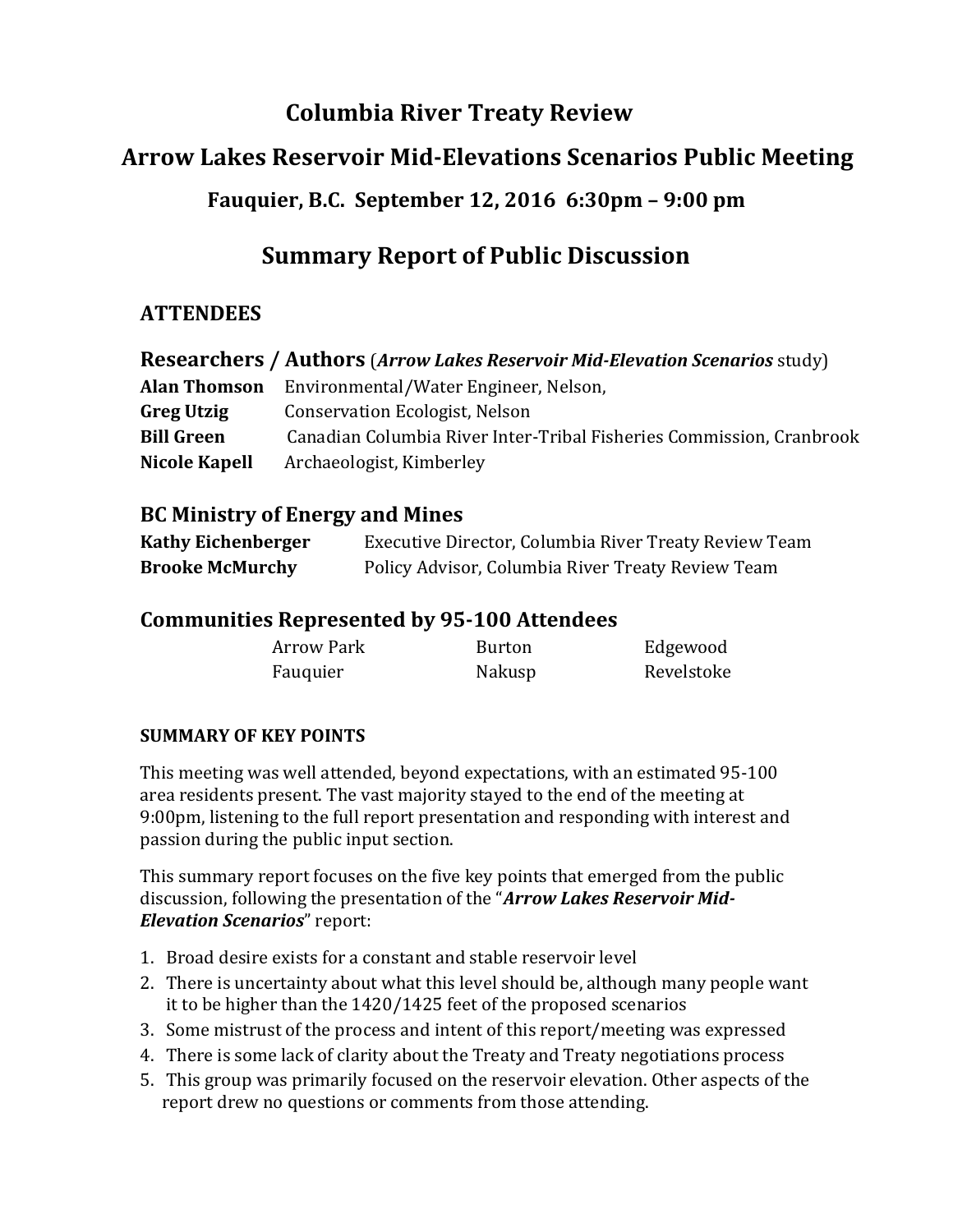# **Columbia River Treaty Review**

# **Arrow Lakes Reservoir Mid-Elevations Scenarios Public Meeting**

## **Fauquier, B.C. September 12, 2016 6:30pm – 9:00 pm**

# **Summary Report of Public Discussion**

## **ATTENDEES**

| <b>Researchers / Authors (Arrow Lakes Reservoir Mid-Elevation Scenarios study)</b> |                                                                      |  |  |
|------------------------------------------------------------------------------------|----------------------------------------------------------------------|--|--|
| <b>Alan Thomson</b>                                                                | Environmental/Water Engineer, Nelson,                                |  |  |
| <b>Greg Utzig</b>                                                                  | <b>Conservation Ecologist, Nelson</b>                                |  |  |
| <b>Bill Green</b>                                                                  | Canadian Columbia River Inter-Tribal Fisheries Commission, Cranbrook |  |  |
| <b>Nicole Kapell</b>                                                               | Archaeologist, Kimberley                                             |  |  |

### **BC Ministry of Energy and Mines**

| <b>Kathy Eichenberger</b> | Executive Director, Columbia River Treaty Review Team |
|---------------------------|-------------------------------------------------------|
| <b>Brooke McMurchy</b>    | Policy Advisor, Columbia River Treaty Review Team     |

### **Communities Represented by 95-100 Attendees**

| <b>Arrow Park</b> | <b>Burton</b> | Edgewood   |
|-------------------|---------------|------------|
| Fauquier          | Nakusp        | Revelstoke |

#### **SUMMARY OF KEY POINTS**

This meeting was well attended, beyond expectations, with an estimated 95-100 area residents present. The vast majority stayed to the end of the meeting at 9:00pm, listening to the full report presentation and responding with interest and passion during the public input section.

This summary report focuses on the five key points that emerged from the public discussion, following the presentation of the "*Arrow Lakes Reservoir Mid-Elevation Scenarios*" report:

- 1. Broad desire exists for a constant and stable reservoir level
- 2. There is uncertainty about what this level should be, although many people want it to be higher than the 1420/1425 feet of the proposed scenarios
- 3. Some mistrust of the process and intent of this report/meeting was expressed
- 4. There is some lack of clarity about the Treaty and Treaty negotiations process
- 5. This group was primarily focused on the reservoir elevation. Other aspects of the report drew no questions or comments from those attending.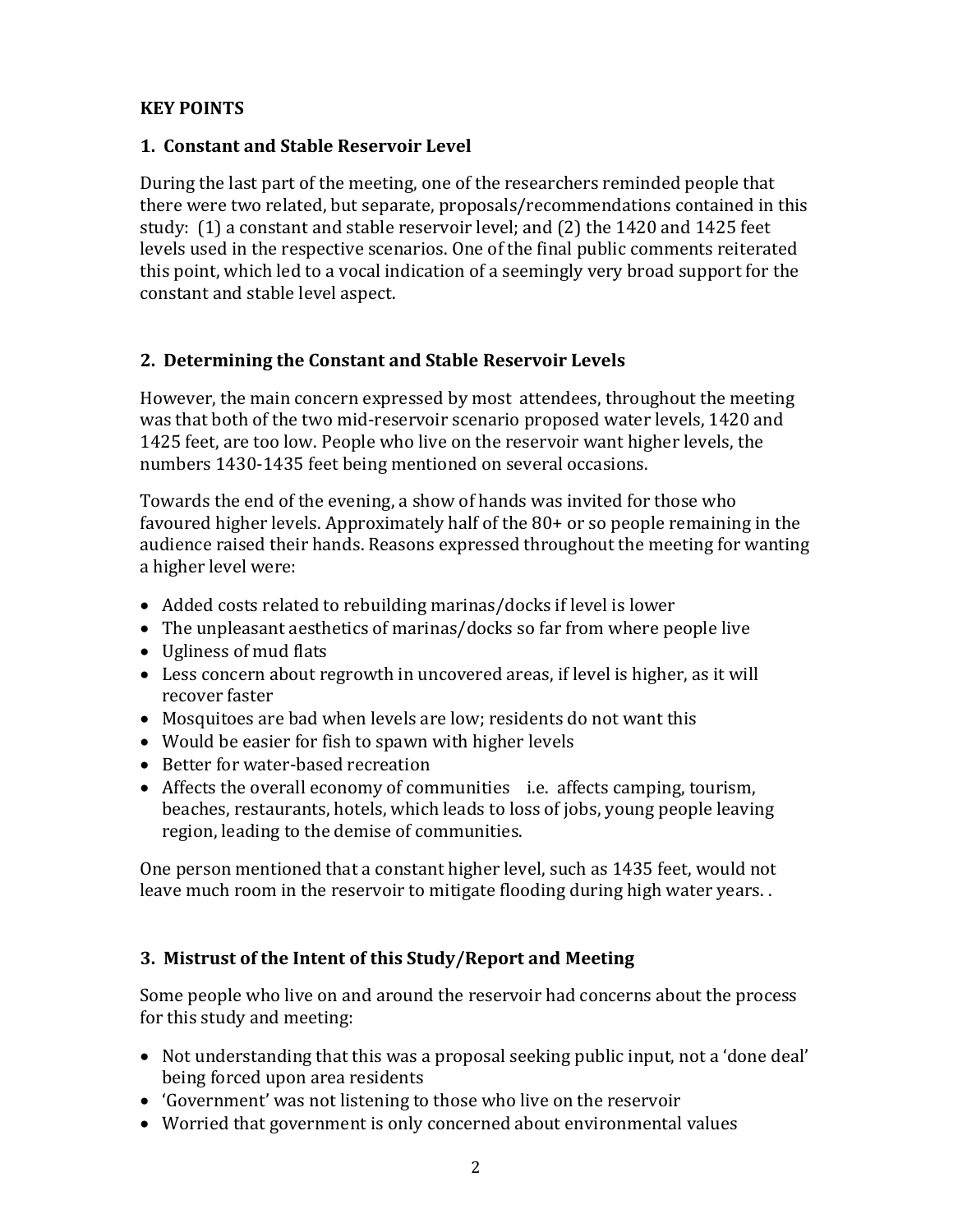#### **KEY POINTS**

#### **1. Constant and Stable Reservoir Level**

During the last part of the meeting, one of the researchers reminded people that there were two related, but separate, proposals/recommendations contained in this study: (1) a constant and stable reservoir level; and (2) the 1420 and 1425 feet levels used in the respective scenarios. One of the final public comments reiterated this point, which led to a vocal indication of a seemingly very broad support for the constant and stable level aspect.

#### **2. Determining the Constant and Stable Reservoir Levels**

However, the main concern expressed by most attendees, throughout the meeting was that both of the two mid-reservoir scenario proposed water levels, 1420 and 1425 feet, are too low. People who live on the reservoir want higher levels, the numbers 1430-1435 feet being mentioned on several occasions.

Towards the end of the evening, a show of hands was invited for those who favoured higher levels. Approximately half of the 80+ or so people remaining in the audience raised their hands. Reasons expressed throughout the meeting for wanting a higher level were:

- Added costs related to rebuilding marinas/docks if level is lower
- The unpleasant aesthetics of marinas/docks so far from where people live
- Ugliness of mud flats
- Less concern about regrowth in uncovered areas, if level is higher, as it will recover faster
- Mosquitoes are bad when levels are low; residents do not want this
- Would be easier for fish to spawn with higher levels
- Better for water-based recreation
- Affects the overall economy of communities i.e. affects camping, tourism, beaches, restaurants, hotels, which leads to loss of jobs, young people leaving region, leading to the demise of communities.

One person mentioned that a constant higher level, such as 1435 feet, would not leave much room in the reservoir to mitigate flooding during high water years. .

#### **3. Mistrust of the Intent of this Study/Report and Meeting**

Some people who live on and around the reservoir had concerns about the process for this study and meeting:

- Not understanding that this was a proposal seeking public input, not a 'done deal' being forced upon area residents
- 'Government' was not listening to those who live on the reservoir
- Worried that government is only concerned about environmental values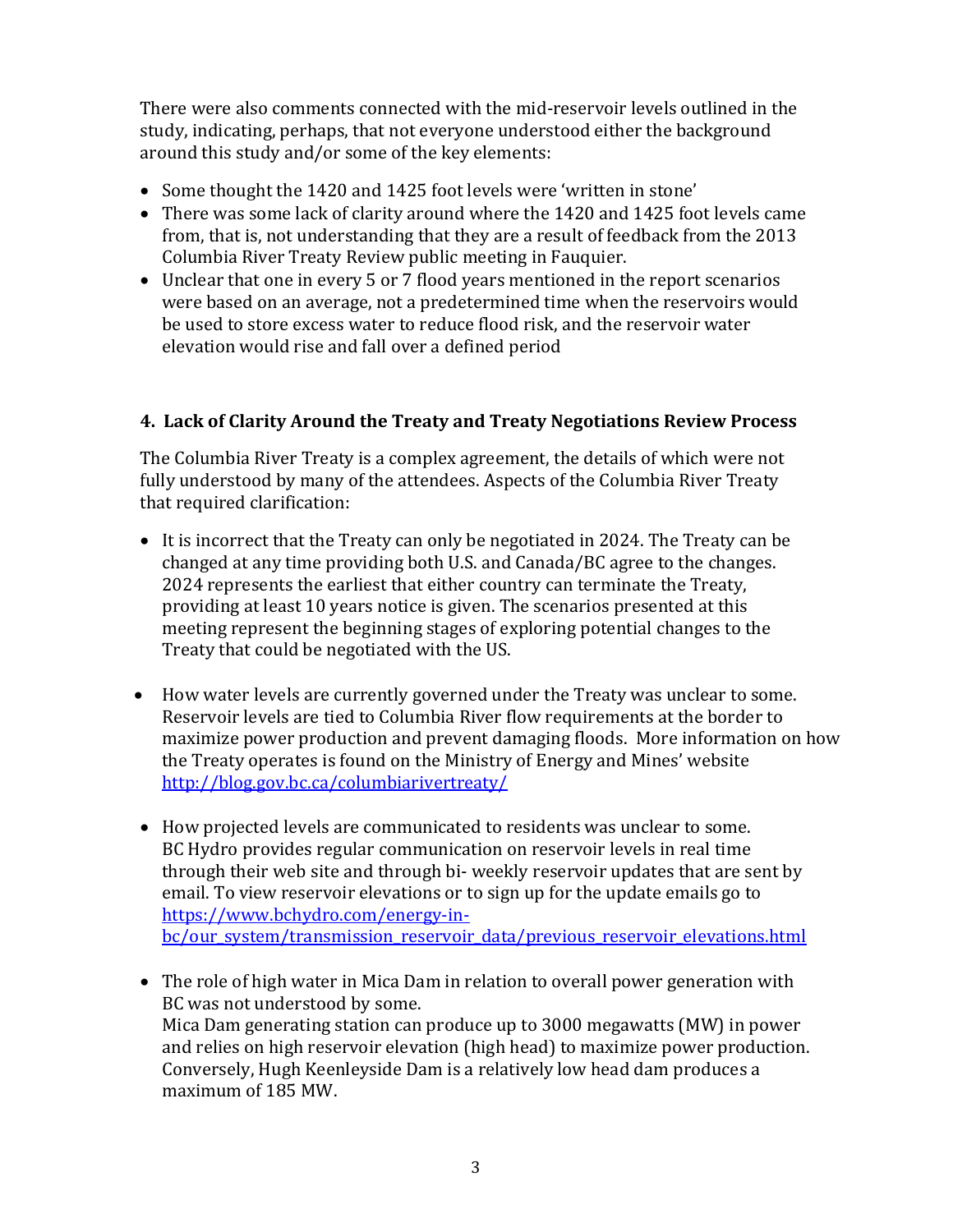There were also comments connected with the mid-reservoir levels outlined in the study, indicating, perhaps, that not everyone understood either the background around this study and/or some of the key elements:

- Some thought the 1420 and 1425 foot levels were 'written in stone'
- There was some lack of clarity around where the 1420 and 1425 foot levels came from, that is, not understanding that they are a result of feedback from the 2013 Columbia River Treaty Review public meeting in Fauquier.
- Unclear that one in every 5 or 7 flood years mentioned in the report scenarios were based on an average, not a predetermined time when the reservoirs would be used to store excess water to reduce flood risk, and the reservoir water elevation would rise and fall over a defined period

#### **4. Lack of Clarity Around the Treaty and Treaty Negotiations Review Process**

The Columbia River Treaty is a complex agreement, the details of which were not fully understood by many of the attendees. Aspects of the Columbia River Treaty that required clarification:

- It is incorrect that the Treaty can only be negotiated in 2024. The Treaty can be changed at any time providing both U.S. and Canada/BC agree to the changes. 2024 represents the earliest that either country can terminate the Treaty, providing at least 10 years notice is given. The scenarios presented at this meeting represent the beginning stages of exploring potential changes to the Treaty that could be negotiated with the US.
- How water levels are currently governed under the Treaty was unclear to some. Reservoir levels are tied to Columbia River flow requirements at the border to maximize power production and prevent damaging floods. More information on how the Treaty operates is found on the Ministry of Energy and Mines' website <http://blog.gov.bc.ca/columbiarivertreaty/>
- How projected levels are communicated to residents was unclear to some. BC Hydro provides regular communication on reservoir levels in real time through their web site and through bi- weekly reservoir updates that are sent by email. To view reservoir elevations or to sign up for the update emails go to [https://www.bchydro.com/energy-in](https://www.bchydro.com/energy-in-bc/our_system/transmission_reservoir_data/previous_reservoir_elevations.html)[bc/our\\_system/transmission\\_reservoir\\_data/previous\\_reservoir\\_elevations.html](https://www.bchydro.com/energy-in-bc/our_system/transmission_reservoir_data/previous_reservoir_elevations.html)
- The role of high water in Mica Dam in relation to overall power generation with BC was not understood by some. Mica Dam generating station can produce up to 3000 megawatts (MW) in power and relies on high reservoir elevation (high head) to maximize power production. Conversely, Hugh Keenleyside Dam is a relatively low head dam produces a maximum of 185 MW.